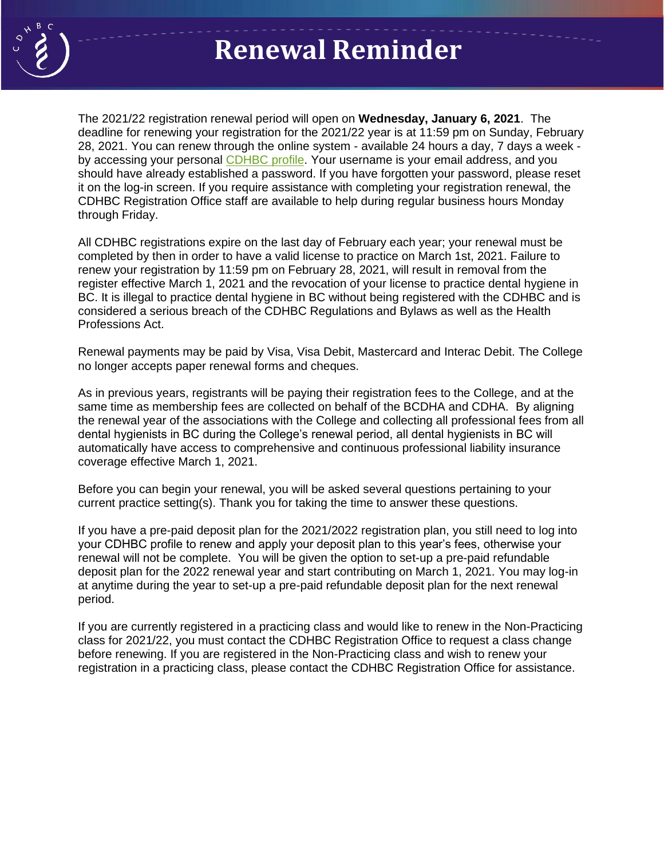

## **Renewal Reminder**

The 2021/22 registration renewal period will open on **Re Wednesday, January 6, 2021**. The deadline for renewing your registration for the 2021/22 year is at 11:59 pm on Sunday, February 28, 2021. You can renew through the online system - available 24 hours a day, 7 days a week by accessing your personal [CDHBC profile.](https://registrant.cdhbc.com/Account) Your username is your email address, and you should have already established a password. If you have forgotten your password, please reset it on the log-in screen. If you require assistance with completing your registration renewal, the CDHBC Registration Office staff are available to help during regular business hours Monday through Friday.

All CDHBC registrations expire on the last day of February each year; your renewal must be completed by then in order to have a valid license to practice on March 1st, 2021. Failure to renew your registration by 11:59 pm on February 28, 2021, will result in removal from the register effective March 1, 2021 and the revocation of your license to practice dental hygiene in BC. It is illegal to practice dental hygiene in BC without being registered with the CDHBC and is considered a serious breach of the CDHBC Regulations and Bylaws as well as the Health Professions Act.

Renewal payments may be paid by Visa, Visa Debit, Mastercard and Interac Debit. The College no longer accepts paper renewal forms and cheques.

As in previous years, registrants will be paying their registration fees to the College, and at the same time as membership fees are collected on behalf of the BCDHA and CDHA. By aligning the renewal year of the associations with the College and collecting all professional fees from all dental hygienists in BC during the College's renewal period, all dental hygienists in BC will automatically have access to comprehensive and continuous professional liability insurance coverage effective March 1, 2021.

Before you can begin your renewal, you will be asked several questions pertaining to your current practice setting(s). Thank you for taking the time to answer these questions.

If you have a pre-paid deposit plan for the 2021/2022 registration plan, you still need to log into your CDHBC profile to renew and apply your deposit plan to this year's fees, otherwise your renewal will not be complete. You will be given the option to set-up a pre-paid refundable deposit plan for the 2022 renewal year and start contributing on March 1, 2021. You may log-in at anytime during the year to set-up a pre-paid refundable deposit plan for the next renewal period.

If you are currently registered in a practicing class and would like to renew in the Non-Practicing class for 2021/22, you must contact the CDHBC Registration Office to request a class change before renewing. If you are registered in the Non-Practicing class and wish to renew your registration in a practicing class, please contact the CDHBC Registration Office for assistance.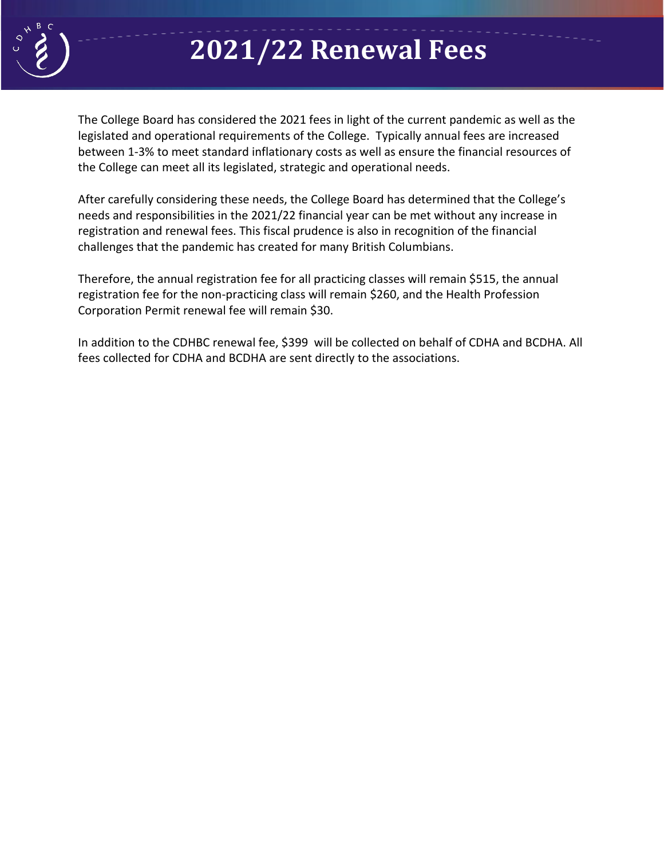

# **2021/22 Renewal Fees**

The College Board has considered the 2021 fees in light of the current pandemic as well as the **Re** legislated and operational requirements of the College. Typically annual fees are increased between 1-3% to meet standard inflationary costs as well as ensure the financial resources of the College can meet all its legislated, strategic and operational needs.

After carefully considering these needs, the College Board has determined that the College's needs and responsibilities in the 2021/22 financial year can be met without any increase in registration and renewal fees. This fiscal prudence is also in recognition of the financial challenges that the pandemic has created for many British Columbians.

Therefore, the annual registration fee for all practicing classes will remain \$515, the annual registration fee for the non-practicing class will remain \$260, and the Health Profession Corporation Permit renewal fee will remain \$30.

In addition to the CDHBC renewal fee, \$399 will be collected on behalf of CDHA and BCDHA. All fees collected for CDHA and BCDHA are sent directly to the associations.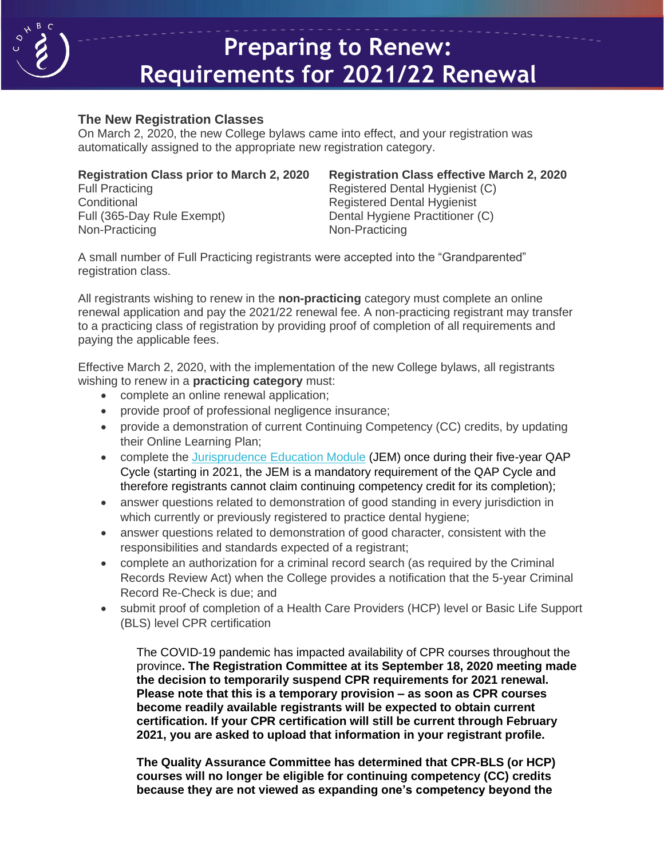

## **Preparing to Renew: Requirements for 2021/22 Renewal**

#### **The New Registration Classes**

The New Registration Classes<br>On March 2, 2020, the new College bylaws came into effect, and your registration was automatically assigned to the appropriate new registration category.

| <b>Registration Class prior to March 2, 2020</b> |
|--------------------------------------------------|
| <b>Full Practicing</b>                           |
| Conditional                                      |
| Full (365-Day Rule Exempt)                       |
| Non-Practicing                                   |

**Registration Class effective March 2, 2020** Registered Dental Hygienist (C) Registered Dental Hygienist Dental Hygiene Practitioner (C) Non-Practicing

A small number of Full Practicing registrants were accepted into the "Grandparented" registration class.

All registrants wishing to renew in the **non-practicing** category must complete an online renewal application and pay the 2021/22 renewal fee. A non-practicing registrant may transfer to a practicing class of registration by providing proof of completion of all requirements and paying the applicable fees.

Effective March 2, 2020, with the implementation of the new College bylaws, all registrants wishing to renew in a **practicing category** must:

- complete an online renewal application;
- provide proof of professional negligence insurance;
- provide a demonstration of current Continuing Competency (CC) credits, by updating their Online Learning Plan;
- complete the [Jurisprudence Education Module](https://www.cdhbc.com/Professional-Development/Jurisprudence-Education-Module.aspx) (JEM) once during their five-year QAP Cycle (starting in 2021, the JEM is a mandatory requirement of the QAP Cycle and therefore registrants cannot claim continuing competency credit for its completion);
- answer questions related to demonstration of good standing in every jurisdiction in which currently or previously registered to practice dental hygiene;
- answer questions related to demonstration of good character, consistent with the responsibilities and standards expected of a registrant;
- complete an authorization for a criminal record search (as required by the Criminal Records Review Act) when the College provides a notification that the 5-year Criminal Record Re-Check is due; and
- submit proof of completion of a Health Care Providers (HCP) level or Basic Life Support (BLS) level CPR certification

The COVID-19 pandemic has impacted availability of CPR courses throughout the province**. The Registration Committee at its September 18, 2020 meeting made the decision to temporarily suspend CPR requirements for 2021 renewal. Please note that this is a temporary provision – as soon as CPR courses become readily available registrants will be expected to obtain current certification. If your CPR certification will still be current through February 2021, you are asked to upload that information in your registrant profile.** 

**The Quality Assurance Committee has determined that CPR-BLS (or HCP) courses will no longer be eligible for continuing competency (CC) credits because they are not viewed as expanding one's competency beyond the**